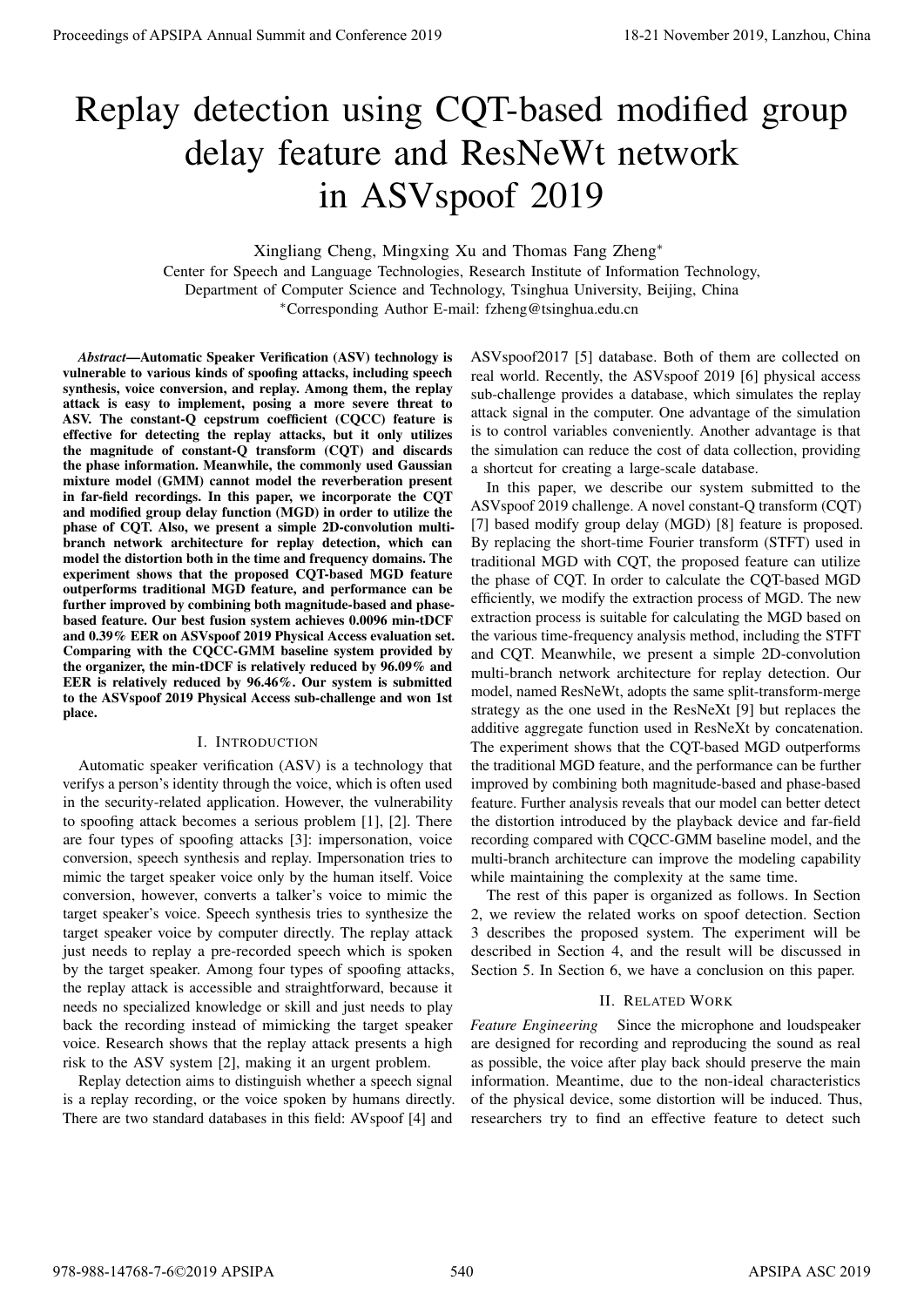# Replay detection using CQT-based modified group delay feature and ResNeWt network in ASVspoof 2019

Xingliang Cheng, Mingxing Xu and Thomas Fang Zheng<sup>∗</sup>

Center for Speech and Language Technologies, Research Institute of Information Technology, Department of Computer Science and Technology, Tsinghua University, Beijing, China <sup>∗</sup>Corresponding Author E-mail: fzheng@tsinghua.edu.cn

*Abstract*—Automatic Speaker Verification (ASV) technology is vulnerable to various kinds of spoofing attacks, including speech synthesis, voice conversion, and replay. Among them, the replay attack is easy to implement, posing a more severe threat to ASV. The constant-Q cepstrum coefficient (CQCC) feature is effective for detecting the replay attacks, but it only utilizes the magnitude of constant-Q transform (CQT) and discards the phase information. Meanwhile, the commonly used Gaussian mixture model (GMM) cannot model the reverberation present in far-field recordings. In this paper, we incorporate the CQT and modified group delay function (MGD) in order to utilize the phase of CQT. Also, we present a simple 2D-convolution multibranch network architecture for replay detection, which can model the distortion both in the time and frequency domains. The experiment shows that the proposed CQT-based MGD feature outperforms traditional MGD feature, and performance can be further improved by combining both magnitude-based and phasebased feature. Our best fusion system achieves 0.0096 min-tDCF and 0.39% EER on ASVspoof 2019 Physical Access evaluation set. Comparing with the CQCC-GMM baseline system provided by the organizer, the min-tDCF is relatively reduced by 96.09% and EER is relatively reduced by 96.46%. Our system is submitted to the ASVspoof 2019 Physical Access sub-challenge and won 1st place.

# I. INTRODUCTION

Automatic speaker verification (ASV) is a technology that verifys a person's identity through the voice, which is often used in the security-related application. However, the vulnerability to spoofing attack becomes a serious problem [1], [2]. There are four types of spoofing attacks [3]: impersonation, voice conversion, speech synthesis and replay. Impersonation tries to mimic the target speaker voice only by the human itself. Voice conversion, however, converts a talker's voice to mimic the target speaker's voice. Speech synthesis tries to synthesize the target speaker voice by computer directly. The replay attack just needs to replay a pre-recorded speech which is spoken by the target speaker. Among four types of spoofing attacks, the replay attack is accessible and straightforward, because it needs no specialized knowledge or skill and just needs to play back the recording instead of mimicking the target speaker voice. Research shows that the replay attack presents a high risk to the ASV system [2], making it an urgent problem.

Replay detection aims to distinguish whether a speech signal is a replay recording, or the voice spoken by humans directly. There are two standard databases in this field: AVspoof [4] and

ASVspoof2017 [5] database. Both of them are collected on real world. Recently, the ASVspoof 2019 [6] physical access sub-challenge provides a database, which simulates the replay attack signal in the computer. One advantage of the simulation is to control variables conveniently. Another advantage is that the simulation can reduce the cost of data collection, providing a shortcut for creating a large-scale database.

In this paper, we describe our system submitted to the ASVspoof 2019 challenge. A novel constant-Q transform (CQT) [7] based modify group delay (MGD) [8] feature is proposed. By replacing the short-time Fourier transform (STFT) used in traditional MGD with CQT, the proposed feature can utilize the phase of CQT. In order to calculate the CQT-based MGD efficiently, we modify the extraction process of MGD. The new extraction process is suitable for calculating the MGD based on the various time-frequency analysis method, including the STFT and CQT. Meanwhile, we present a simple 2D-convolution multi-branch network architecture for replay detection. Our model, named ResNeWt, adopts the same split-transform-merge strategy as the one used in the ResNeXt [9] but replaces the additive aggregate function used in ResNeXt by concatenation. The experiment shows that the CQT-based MGD outperforms the traditional MGD feature, and the performance can be further improved by combining both magnitude-based and phase-based feature. Further analysis reveals that our model can better detect the distortion introduced by the playback device and far-field recording compared with CQCC-GMM baseline model, and the multi-branch architecture can improve the modeling capability while maintaining the complexity at the same time. Proceeding of APSIPA Annual Summit at China 978-1899.<br>
Replace 2019 Annual Summit and Resolve 2019 2019 Annual Summit and Conference 2019 2019 Annual Summit and Conference 2019 2019 Annual Summit and Conference 2019 2019

The rest of this paper is organized as follows. In Section 2, we review the related works on spoof detection. Section 3 describes the proposed system. The experiment will be described in Section 4, and the result will be discussed in Section 5. In Section 6, we have a conclusion on this paper.

# II. RELATED WORK

*Feature Engineering* Since the microphone and loudspeaker are designed for recording and reproducing the sound as real as possible, the voice after play back should preserve the main information. Meantime, due to the non-ideal characteristics of the physical device, some distortion will be induced. Thus, researchers try to find an effective feature to detect such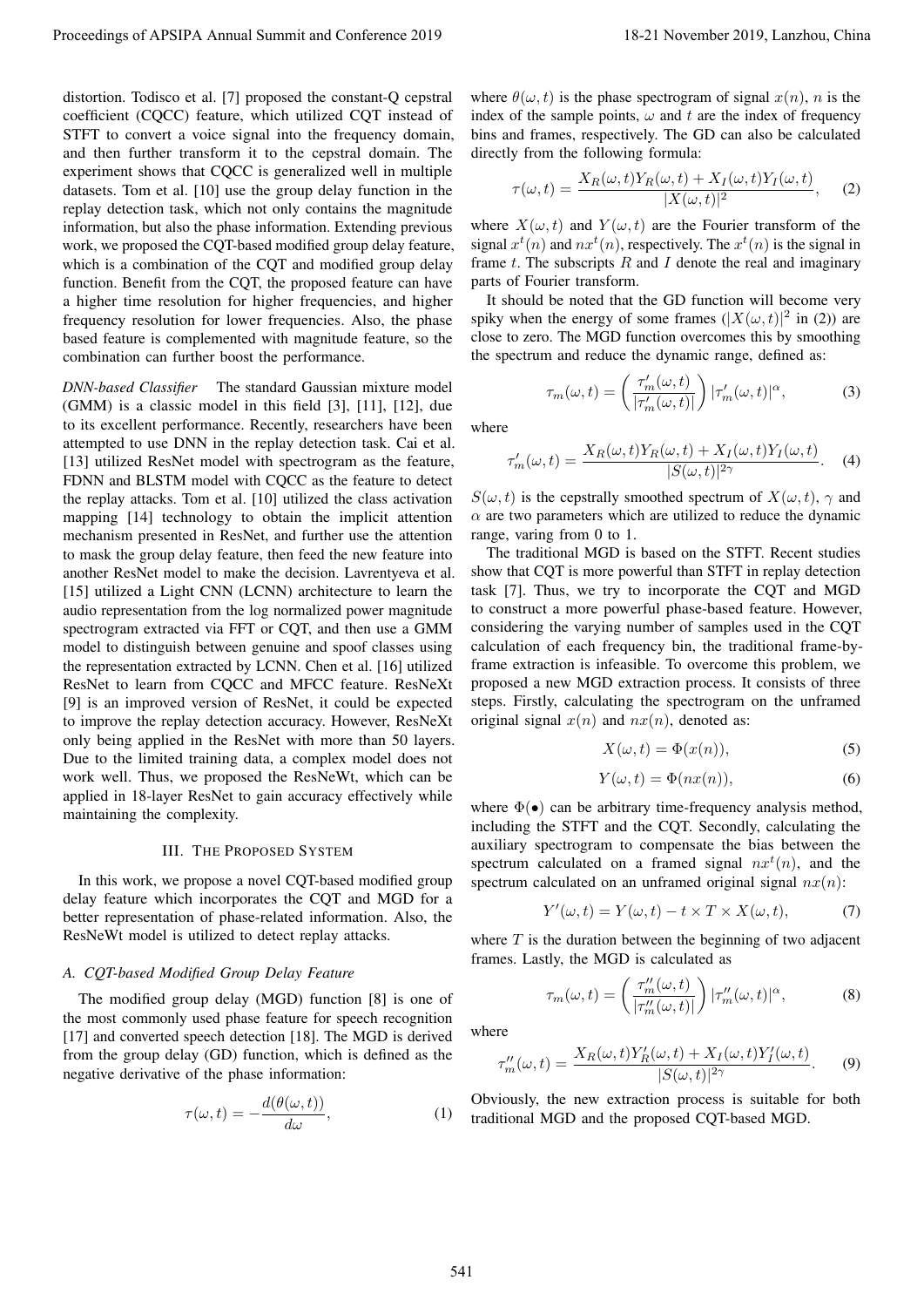distortion. Todisco et al. [7] proposed the constant-Q cepstral coefficient (CQCC) feature, which utilized CQT instead of STFT to convert a voice signal into the frequency domain, and then further transform it to the cepstral domain. The experiment shows that CQCC is generalized well in multiple datasets. Tom et al. [10] use the group delay function in the replay detection task, which not only contains the magnitude information, but also the phase information. Extending previous work, we proposed the CQT-based modified group delay feature, which is a combination of the CQT and modified group delay function. Benefit from the CQT, the proposed feature can have a higher time resolution for higher frequencies, and higher frequency resolution for lower frequencies. Also, the phase based feature is complemented with magnitude feature, so the combination can further boost the performance.

*DNN-based Classifier* The standard Gaussian mixture model (GMM) is a classic model in this field [3], [11], [12], due to its excellent performance. Recently, researchers have been attempted to use DNN in the replay detection task. Cai et al. [13] utilized ResNet model with spectrogram as the feature, FDNN and BLSTM model with CQCC as the feature to detect the replay attacks. Tom et al. [10] utilized the class activation mapping [14] technology to obtain the implicit attention mechanism presented in ResNet, and further use the attention to mask the group delay feature, then feed the new feature into another ResNet model to make the decision. Lavrentyeva et al. [15] utilized a Light CNN (LCNN) architecture to learn the audio representation from the log normalized power magnitude spectrogram extracted via FFT or CQT, and then use a GMM model to distinguish between genuine and spoof classes using the representation extracted by LCNN. Chen et al. [16] utilized ResNet to learn from CQCC and MFCC feature. ResNeXt [9] is an improved version of ResNet, it could be expected to improve the replay detection accuracy. However, ResNeXt only being applied in the ResNet with more than 50 layers. Due to the limited training data, a complex model does not work well. Thus, we proposed the ResNeWt, which can be applied in 18-layer ResNet to gain accuracy effectively while maintaining the complexity. Proceedings of APSIPA Annual Summit at Conference 2019<br>
Results of the state of Proceedings of the state of the state of the state of the state of the state of the state of the state of the state of the state of the state

# III. THE PROPOSED SYSTEM

In this work, we propose a novel CQT-based modified group delay feature which incorporates the CQT and MGD for a better representation of phase-related information. Also, the ResNeWt model is utilized to detect replay attacks.

### *A. CQT-based Modified Group Delay Feature*

The modified group delay (MGD) function [8] is one of the most commonly used phase feature for speech recognition [17] and converted speech detection [18]. The MGD is derived from the group delay (GD) function, which is defined as the negative derivative of the phase information:

$$
\tau(\omega, t) = -\frac{d(\theta(\omega, t))}{d\omega},\tag{1}
$$

where  $\theta(\omega, t)$  is the phase spectrogram of signal  $x(n)$ , n is the index of the sample points,  $\omega$  and t are the index of frequency bins and frames, respectively. The GD can also be calculated directly from the following formula:

$$
\tau(\omega, t) = \frac{X_R(\omega, t)Y_R(\omega, t) + X_I(\omega, t)Y_I(\omega, t)}{|X(\omega, t)|^2}, \quad (2)
$$

where  $X(\omega, t)$  and  $Y(\omega, t)$  are the Fourier transform of the signal  $x^t(n)$  and  $nx^t(n)$ , respectively. The  $x^t(n)$  is the signal in frame  $t$ . The subscripts  $R$  and  $I$  denote the real and imaginary parts of Fourier transform.

It should be noted that the GD function will become very spiky when the energy of some frames  $(|X(\omega, t)|^2$  in (2)) are close to zero. The MGD function overcomes this by smoothing the spectrum and reduce the dynamic range, defined as:

$$
\tau_m(\omega, t) = \left(\frac{\tau_m'(\omega, t)}{|\tau_m'(\omega, t)|}\right) |\tau_m'(\omega, t)|^{\alpha}, \tag{3}
$$

where

$$
\tau'_{m}(\omega, t) = \frac{X_{R}(\omega, t)Y_{R}(\omega, t) + X_{I}(\omega, t)Y_{I}(\omega, t)}{|S(\omega, t)|^{2\gamma}}.
$$
 (4)

 $S(\omega, t)$  is the cepstrally smoothed spectrum of  $X(\omega, t)$ ,  $\gamma$  and  $\alpha$  are two parameters which are utilized to reduce the dynamic range, varing from 0 to 1.

The traditional MGD is based on the STFT. Recent studies show that CQT is more powerful than STFT in replay detection task [7]. Thus, we try to incorporate the CQT and MGD to construct a more powerful phase-based feature. However, considering the varying number of samples used in the CQT calculation of each frequency bin, the traditional frame-byframe extraction is infeasible. To overcome this problem, we proposed a new MGD extraction process. It consists of three steps. Firstly, calculating the spectrogram on the unframed original signal  $x(n)$  and  $nx(n)$ , denoted as:

$$
X(\omega, t) = \Phi(x(n)),\tag{5}
$$

$$
Y(\omega, t) = \Phi(nx(n)),\tag{6}
$$

where  $\Phi(\bullet)$  can be arbitrary time-frequency analysis method, including the STFT and the CQT. Secondly, calculating the auxiliary spectrogram to compensate the bias between the spectrum calculated on a framed signal  $nx^{t}(n)$ , and the spectrum calculated on an unframed original signal  $nx(n)$ :

$$
Y'(\omega, t) = Y(\omega, t) - t \times T \times X(\omega, t), \tag{7}
$$

where  $T$  is the duration between the beginning of two adjacent frames. Lastly, the MGD is calculated as

$$
\tau_m(\omega, t) = \left(\frac{\tau_m''(\omega, t)}{|\tau_m''(\omega, t)|}\right) |\tau_m''(\omega, t)|^{\alpha}, \tag{8}
$$

where

$$
\tau_m''(\omega, t) = \frac{X_R(\omega, t)Y_R'(\omega, t) + X_I(\omega, t)Y_I'(\omega, t)}{|S(\omega, t)|^{2\gamma}}.
$$
 (9)

Obviously, the new extraction process is suitable for both traditional MGD and the proposed CQT-based MGD.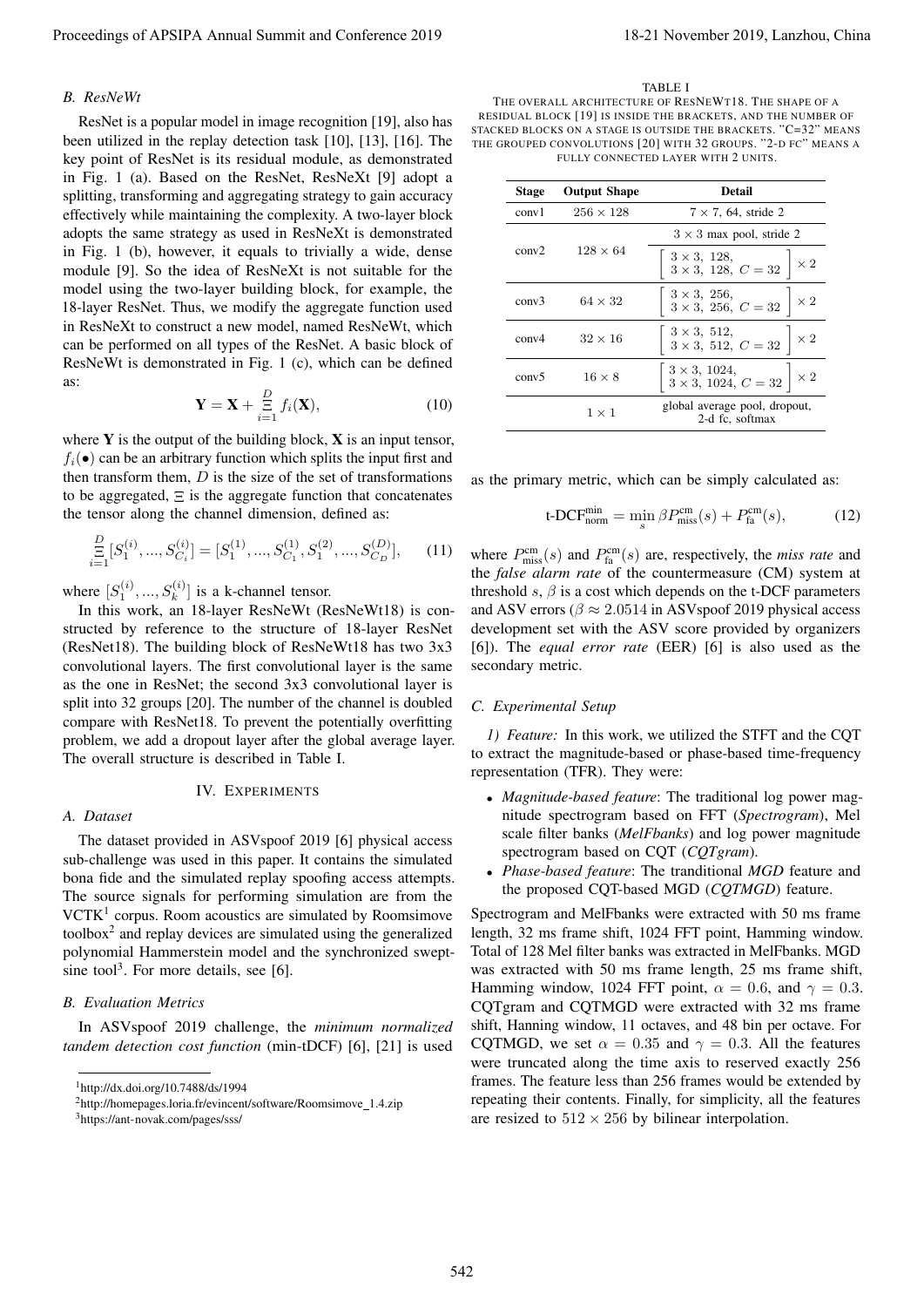# *B. ResNeWt*

ResNet is a popular model in image recognition [19], also has been utilized in the replay detection task [10], [13], [16]. The key point of ResNet is its residual module, as demonstrated in Fig. 1 (a). Based on the ResNet, ResNeXt [9] adopt a splitting, transforming and aggregating strategy to gain accuracy effectively while maintaining the complexity. A two-layer block adopts the same strategy as used in ResNeXt is demonstrated in Fig. 1 (b), however, it equals to trivially a wide, dense module [9]. So the idea of ResNeXt is not suitable for the model using the two-layer building block, for example, the 18-layer ResNet. Thus, we modify the aggregate function used in ResNeXt to construct a new model, named ResNeWt, which can be performed on all types of the ResNet. A basic block of ResNeWt is demonstrated in Fig. 1 (c), which can be defined as: Proceedings of APSIPA Annual Summit and Conference 2019<br> *Proceedings of APSIPA Annual Summit and Conference 2019*<br> *Proceeding and Conference 2019*<br> **And Conference 2019** 2. The conference 2019 18-21 November 2019 18-21

$$
\mathbf{Y} = \mathbf{X} + \sum_{i=1}^{D} f_i(\mathbf{X}), \qquad (10)
$$

where  $Y$  is the output of the building block,  $X$  is an input tensor,  $f_i(\bullet)$  can be an arbitrary function which splits the input first and then transform them,  $D$  is the size of the set of transformations to be aggregated,  $\Xi$  is the aggregate function that concatenates the tensor along the channel dimension, defined as:

$$
\mathop{\Xi}_{i=1}^{D}[S_1^{(i)},...,S_{C_i}^{(i)}] = [S_1^{(1)},...,S_{C_1}^{(1)},S_1^{(2)},...,S_{C_D}^{(D)}],\qquad(11)
$$

where  $[S_1^{(i)},...,S_k^{(i)}]$  is a k-channel tensor.

In this work, an 18-layer ResNeWt (ResNeWt18) is constructed by reference to the structure of 18-layer ResNet (ResNet18). The building block of ResNeWt18 has two 3x3 convolutional layers. The first convolutional layer is the same as the one in ResNet; the second 3x3 convolutional layer is split into 32 groups [20]. The number of the channel is doubled compare with ResNet18. To prevent the potentially overfitting problem, we add a dropout layer after the global average layer. The overall structure is described in Table I.

# IV. EXPERIMENTS

# *A. Dataset*

The dataset provided in ASVspoof 2019 [6] physical access sub-challenge was used in this paper. It contains the simulated bona fide and the simulated replay spoofing access attempts. The source signals for performing simulation are from the VCTK<sup>1</sup> corpus. Room acoustics are simulated by Roomsimove toolbox $2$  and replay devices are simulated using the generalized polynomial Hammerstein model and the synchronized sweptsine tool<sup>3</sup>. For more details, see [6].

# *B. Evaluation Metrics*

In ASVspoof 2019 challenge, the *minimum normalized tandem detection cost function* (min-tDCF) [6], [21] is used

#### TABLE I

THE OVERALL ARCHITECTURE OF RESNEWT18. THE SHAPE OF A RESIDUAL BLOCK [19] IS INSIDE THE BRACKETS, AND THE NUMBER OF STACKED BLOCKS ON A STAGE IS OUTSIDE THE BRACKETS. "C=32" MEANS THE GROUPED CONVOLUTIONS [20] WITH 32 GROUPS. "2-D FC" MEANS A FULLY CONNECTED LAYER WITH 2 UNITS.

| <b>Stage</b>      | <b>Output Shape</b> | <b>Detail</b>                                                                           |  |  |
|-------------------|---------------------|-----------------------------------------------------------------------------------------|--|--|
| conv1             | $256 \times 128$    | $7 \times 7$ , 64, stride 2                                                             |  |  |
|                   | $128 \times 64$     | $3 \times 3$ max pool, stride 2                                                         |  |  |
| conv2             |                     | $\begin{array}{c} 3\times 3,\ 128,\\ 3\times 3,\ 128,\ C=32 \end{array}\Big] \times 2$  |  |  |
| conv3             | $64 \times 32$      | $\begin{array}{c c}3\times3,~256,\\3\times3,~256,~C=32\end{array}\Big \times2$          |  |  |
| conv <sub>4</sub> | $32 \times 16$      | $\begin{array}{c c} 3\times3,~512,\\ 3\times3,~512,~C=32 \end{array} \Big  \times 2$    |  |  |
| conv <sub>5</sub> | $16 \times 8$       | $\begin{array}{c c} 3 \times 3, 1024, \\ 3 \times 3, 1024, C = 32 \end{array} \times 2$ |  |  |
|                   | $1 \times 1$        | global average pool, dropout,<br>2-d fc, softmax                                        |  |  |

as the primary metric, which can be simply calculated as:

$$
t\text{-DCF}_{\text{norm}}^{\text{min}} = \min_{s} \beta P_{\text{miss}}^{\text{cm}}(s) + P_{\text{fa}}^{\text{cm}}(s),\tag{12}
$$

where  $P_{\text{miss}}^{\text{cm}}(s)$  and  $P_{\text{fa}}^{\text{cm}}(s)$  are, respectively, the *miss rate* and the *false alarm rate* of the countermeasure (CM) system at threshold s,  $\beta$  is a cost which depends on the t-DCF parameters and ASV errors ( $\beta \approx 2.0514$  in ASVspoof 2019 physical access development set with the ASV score provided by organizers [6]). The *equal error rate* (EER) [6] is also used as the secondary metric.

# *C. Experimental Setup*

*1) Feature:* In this work, we utilized the STFT and the CQT to extract the magnitude-based or phase-based time-frequency representation (TFR). They were:

- *Magnitude-based feature*: The traditional log power magnitude spectrogram based on FFT (*Spectrogram*), Mel scale filter banks (*MelFbanks*) and log power magnitude spectrogram based on CQT (*CQTgram*).
- *Phase-based feature*: The tranditional *MGD* feature and the proposed CQT-based MGD (*CQTMGD*) feature.

Spectrogram and MelFbanks were extracted with 50 ms frame length, 32 ms frame shift, 1024 FFT point, Hamming window. Total of 128 Mel filter banks was extracted in MelFbanks. MGD was extracted with 50 ms frame length, 25 ms frame shift, Hamming window, 1024 FFT point,  $\alpha = 0.6$ , and  $\gamma = 0.3$ . CQTgram and CQTMGD were extracted with 32 ms frame shift, Hanning window, 11 octaves, and 48 bin per octave. For CQTMGD, we set  $\alpha = 0.35$  and  $\gamma = 0.3$ . All the features were truncated along the time axis to reserved exactly 256 frames. The feature less than 256 frames would be extended by repeating their contents. Finally, for simplicity, all the features are resized to  $512 \times 256$  by bilinear interpolation.

<sup>1</sup>http://dx.doi.org/10.7488/ds/1994

<sup>2</sup>http://homepages.loria.fr/evincent/software/Roomsimove 1.4.zip

<sup>3</sup>https://ant-novak.com/pages/sss/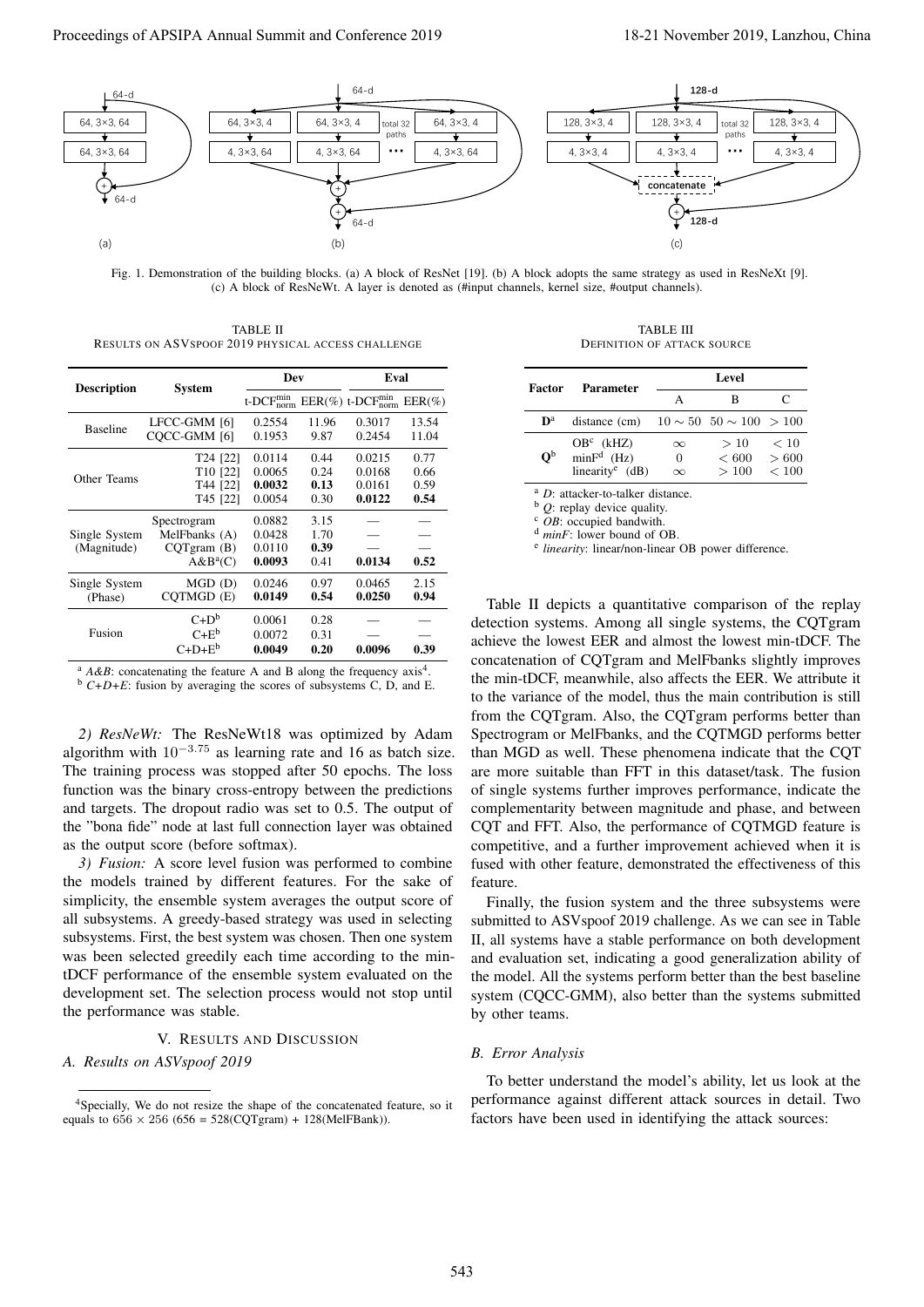

Fig. 1. Demonstration of the building blocks. (a) A block of ResNet [19]. (b) A block adopts the same strategy as used in ResNeXt [9]. (c) A block of ResNeWt. A layer is denoted as (#input channels, kernel size, #output channels).

TABLE II RESULTS ON ASVSPOOF 2019 PHYSICAL ACCESS CHALLENGE

| <b>Description</b> | System               | <b>Dev</b>               |       | Eval                         |           |
|--------------------|----------------------|--------------------------|-------|------------------------------|-----------|
|                    |                      | $t$ -DC $F_{norm}^{min}$ |       | $EER(\%) t-DCF_{norm}^{min}$ | $EER(\%)$ |
| <b>Baseline</b>    | LFCC-GMM [6]         | 0.2554                   | 11.96 | 0.3017                       | 13.54     |
|                    | COCC-GMM [6]         | 0.1953                   | 9.87  | 0.2454                       | 11.04     |
|                    | T24 [22]             | 0.0114                   | 0.44  | 0.0215                       | 0.77      |
| Other Teams        | T <sub>10</sub> [22] | 0.0065                   | 0.24  | 0.0168                       | 0.66      |
|                    | T44 [22]             | 0.0032                   | 0.13  | 0.0161                       | 0.59      |
|                    | T45 [22]             | 0.0054                   | 0.30  | 0.0122                       | 0.54      |
|                    | Spectrogram          | 0.0882                   | 3.15  |                              |           |
| Single System      | MelFbanks (A)        | 0.0428                   | 1.70  |                              |           |
| (Magnitude)        | CQTgram(B)           | 0.0110                   | 0.39  |                              |           |
|                    | $A&B^a(C)$           | 0.0093                   | 0.41  | 0.0134                       | 0.52      |
| Single System      | MGD (D)              | 0.0246                   | 0.97  | 0.0465                       | 2.15      |
| (Phase)            | COTMGD (E)           | 0.0149                   | 0.54  | 0.0250                       | 0.94      |
|                    | $C+D^b$              | 0.0061                   | 0.28  |                              |           |
| Fusion             | $C+E^b$              | 0.0072                   | 0.31  |                              |           |
|                    | $C+D+E^b$            | 0.0049                   | 0.20  | 0.0096                       | 0.39      |

 $A \& B$ : concatenating the feature A and B along the frequency axis<sup>4</sup>.

<sup>b</sup> *C+D+E*: fusion by averaging the scores of subsystems C, D, and E.

*2) ResNeWt:* The ResNeWt18 was optimized by Adam algorithm with  $10^{-3.75}$  as learning rate and 16 as batch size. The training process was stopped after 50 epochs. The loss function was the binary cross-entropy between the predictions and targets. The dropout radio was set to 0.5. The output of the "bona fide" node at last full connection layer was obtained as the output score (before softmax).

*3) Fusion:* A score level fusion was performed to combine the models trained by different features. For the sake of simplicity, the ensemble system averages the output score of all subsystems. A greedy-based strategy was used in selecting subsystems. First, the best system was chosen. Then one system was been selected greedily each time according to the mintDCF performance of the ensemble system evaluated on the development set. The selection process would not stop until the performance was stable.

# V. RESULTS AND DISCUSSION

### *A. Results on ASVspoof 2019*

TABLE III DEFINITION OF ATTACK SOURCE

| Factor                    | <b>Parameter</b>                                             | Level                            |                                    |                        |  |
|---------------------------|--------------------------------------------------------------|----------------------------------|------------------------------------|------------------------|--|
|                           |                                                              | Α                                | в                                  | C                      |  |
| $\mathbf{D}^{\text{a}}$   | distance (cm)                                                |                                  | $10 \sim 50$ $50 \sim 100$ $> 100$ |                        |  |
| $\mathbf{O}^{\mathsf{b}}$ | $OBc$ (kHZ)<br>$minFd$ (Hz)<br>linearity <sup>e</sup> $(dB)$ | $\infty$<br>$\theta$<br>$\infty$ | >10<br>${}< 600$<br>>100           | < 10<br>> 600<br>< 100 |  |

<sup>a</sup> *D*: attacker-to-talker distance.

<sup>b</sup> *Q*: replay device quality.

<sup>c</sup> *OB*: occupied bandwith.

<sup>d</sup> *minF*: lower bound of OB.

<sup>e</sup> linearity: linear/non-linear OB power difference.

Table II depicts a quantitative comparison of the replay detection systems. Among all single systems, the CQTgram achieve the lowest EER and almost the lowest min-tDCF. The concatenation of CQTgram and MelFbanks slightly improves the min-tDCF, meanwhile, also affects the EER. We attribute it to the variance of the model, thus the main contribution is still from the CQTgram. Also, the CQTgram performs better than Spectrogram or MelFbanks, and the CQTMGD performs better than MGD as well. These phenomena indicate that the CQT are more suitable than FFT in this dataset/task. The fusion of single systems further improves performance, indicate the complementarity between magnitude and phase, and between CQT and FFT. Also, the performance of CQTMGD feature is competitive, and a further improvement achieved when it is fused with other feature, demonstrated the effectiveness of this feature.

Finally, the fusion system and the three subsystems were submitted to ASVspoof 2019 challenge. As we can see in Table II, all systems have a stable performance on both development and evaluation set, indicating a good generalization ability of the model. All the systems perform better than the best baseline system (CQCC-GMM), also better than the systems submitted by other teams.

# *B. Error Analysis*

To better understand the model's ability, let us look at the performance against different attack sources in detail. Two factors have been used in identifying the attack sources:

<sup>4</sup>Specially, We do not resize the shape of the concatenated feature, so it equals to  $656 \times 256$  ( $656 = 528$ (CQTgram) + 128(MelFBank)).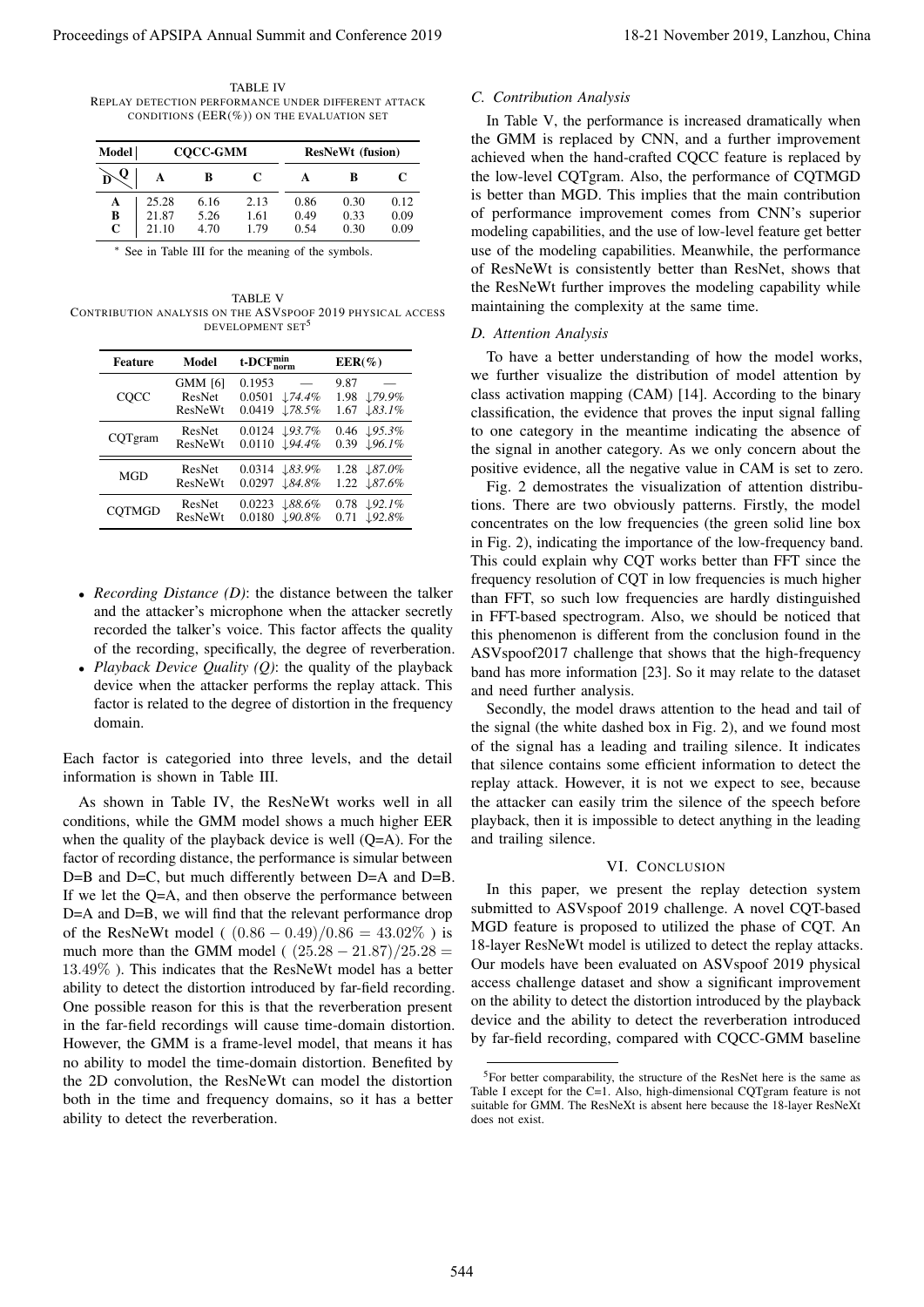TABLE IV REPLAY DETECTION PERFORMANCE UNDER DIFFERENT ATTACK CONDITIONS  $(EER(\%))$  ON THE EVALUATION SET

| Model |       |      | <b>COCC-GMM</b> |      |      | <b>ResNeWt</b> (fusion) |
|-------|-------|------|-----------------|------|------|-------------------------|
|       |       | в    | C               | A    | B    | C                       |
| A     | 25.28 | 6.16 | 2.13            | 0.86 | 0.30 | 0.12                    |
| В     | 21.87 | 5.26 | 1.61            | 0.49 | 0.33 | 0.09                    |
| C     | 21.10 | 4.70 | 1.79            | 0.54 | 0.30 | 0.09                    |

<sup>∗</sup> See in Table III for the meaning of the symbols.

TABLE V CONTRIBUTION ANALYSIS ON THE ASVSPOOF 2019 PHYSICAL ACCESS DEVELOPMENT SET<sup>5</sup>

| <b>Feature</b> | Model                               | $t$ -DC $F_{norm}^{min}$                                     | $EER(\%)$                                                |  |
|----------------|-------------------------------------|--------------------------------------------------------------|----------------------------------------------------------|--|
| COCC           | <b>GMM</b> [6]<br>ResNet<br>ResNeWt | 0.1953<br>0.0501<br>$\downarrow$ 74.4%<br>0.0419<br>178.5%   | 9.87<br>179.9%<br>1.98<br>1.67<br>$\downarrow$ 83.1%     |  |
| CQTgram        | ResNet<br>ResNeWt                   | $0.0124 \downarrow 93.7\%$<br>0.0110 ↓94.4%                  | $0.46 \downarrow 95.3\%$<br>$0.39 \sqrt{96.1\%}$         |  |
| <b>MGD</b>     | ResNet<br>ResNeWt                   | $0.0314$ $\downarrow 83.9\%$<br>0.0297<br>$\downarrow$ 84.8% | 1.28 $\downarrow 87.0\%$<br>1.22 187.6%                  |  |
| <b>COTMGD</b>  | ResNet<br>ResNeWt                   | 0.0223<br>$\downarrow 88.6\%$<br>L90.8%<br>0.0180            | $\downarrow$ 92.1%<br>0.78<br>$\downarrow$ 92.8%<br>0.71 |  |

- *Recording Distance (D)*: the distance between the talker and the attacker's microphone when the attacker secretly recorded the talker's voice. This factor affects the quality of the recording, specifically, the degree of reverberation.
- *Playback Device Quality (Q)*: the quality of the playback device when the attacker performs the replay attack. This factor is related to the degree of distortion in the frequency domain.

Each factor is categoried into three levels, and the detail information is shown in Table III.

As shown in Table IV, the ResNeWt works well in all conditions, while the GMM model shows a much higher EER when the quality of the playback device is well (Q=A). For the factor of recording distance, the performance is simular between D=B and D=C, but much differently between D=A and D=B. If we let the Q=A, and then observe the performance between D=A and D=B, we will find that the relevant performance drop of the ResNeWt model (  $(0.86 - 0.49)/0.86 = 43.02\%$  ) is much more than the GMM model ( $(25.28 - 21.87)/25.28 =$ 13.49% ). This indicates that the ResNeWt model has a better ability to detect the distortion introduced by far-field recording. One possible reason for this is that the reverberation present in the far-field recordings will cause time-domain distortion. However, the GMM is a frame-level model, that means it has no ability to model the time-domain distortion. Benefited by the 2D convolution, the ResNeWt can model the distortion both in the time and frequency domains, so it has a better ability to detect the reverberation. Proceedings of APSIPA Annual Summit and Conference 2019<br>
Summit and Conference 2019 18-21 November 2019 18-21 November 2019 2019 18-21 November 2019 2019 18-21 November 2019 2019 18-21 November 2019 2019 18-21 November 20

# *C. Contribution Analysis*

In Table V, the performance is increased dramatically when the GMM is replaced by CNN, and a further improvement achieved when the hand-crafted CQCC feature is replaced by the low-level CQTgram. Also, the performance of CQTMGD is better than MGD. This implies that the main contribution of performance improvement comes from CNN's superior modeling capabilities, and the use of low-level feature get better use of the modeling capabilities. Meanwhile, the performance of ResNeWt is consistently better than ResNet, shows that the ResNeWt further improves the modeling capability while maintaining the complexity at the same time.

#### *D. Attention Analysis*

To have a better understanding of how the model works, we further visualize the distribution of model attention by class activation mapping (CAM) [14]. According to the binary classification, the evidence that proves the input signal falling to one category in the meantime indicating the absence of the signal in another category. As we only concern about the positive evidence, all the negative value in CAM is set to zero.

Fig. 2 demostrates the visualization of attention distributions. There are two obviously patterns. Firstly, the model concentrates on the low frequencies (the green solid line box in Fig. 2), indicating the importance of the low-frequency band. This could explain why CQT works better than FFT since the frequency resolution of CQT in low frequencies is much higher than FFT, so such low frequencies are hardly distinguished in FFT-based spectrogram. Also, we should be noticed that this phenomenon is different from the conclusion found in the ASVspoof2017 challenge that shows that the high-frequency band has more information [23]. So it may relate to the dataset and need further analysis.

Secondly, the model draws attention to the head and tail of the signal (the white dashed box in Fig. 2), and we found most of the signal has a leading and trailing silence. It indicates that silence contains some efficient information to detect the replay attack. However, it is not we expect to see, because the attacker can easily trim the silence of the speech before playback, then it is impossible to detect anything in the leading and trailing silence.

# VI. CONCLUSION

In this paper, we present the replay detection system submitted to ASVspoof 2019 challenge. A novel CQT-based MGD feature is proposed to utilized the phase of CQT. An 18-layer ResNeWt model is utilized to detect the replay attacks. Our models have been evaluated on ASVspoof 2019 physical access challenge dataset and show a significant improvement on the ability to detect the distortion introduced by the playback device and the ability to detect the reverberation introduced by far-field recording, compared with CQCC-GMM baseline

<sup>&</sup>lt;sup>5</sup>For better comparability, the structure of the ResNet here is the same as Table I except for the C=1. Also, high-dimensional CQTgram feature is not suitable for GMM. The ResNeXt is absent here because the 18-layer ResNeXt does not exist.